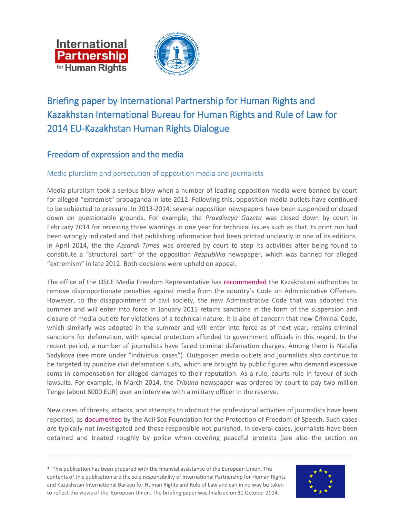



# Briefing paper by International Partnership for Human Rights and Kazakhstan International Bureau for Human Rights and Rule of Law for 2014 EU-Kazakhstan Human Rights Dialogue

# Freedom of expression and the media

#### Media pluralism and persecution of opposition media and journalists

Media pluralism took a serious blow when a number of leading opposition media were banned by court for alleged "extremist" propaganda in late 2012. Following this, opposition media outlets have continued to be subjected to pressure. In 2013-2014, several opposition newspapers have been suspended or closed down on questionable grounds. For example, the *Pravdivaya Gazeta* was closed down by court in February 2014 for receiving three warnings in one year for technical issues such as that its print run had been wrongly indicated and that publishing information had been printed unclearly in one of its editions. In April 2014, the the *Assandi Times* was ordered by court to stop its activities after being found to constitute a "structural part" of the opposition *Respublika* newspaper, which was banned for alleged "extremism" in late 2012. Both decisions were upheld on appeal.

The office of the OSCE Media Freedom Representative has [recommended](http://www.osce.org/fom/115742) the Kazakhstani authorities to remove disproportionate penalties against media from the country's Code on Administrative Offenses. However, to the disappointment of civil society, the new Administrative Code that was adopted this summer and will enter into force in January 2015 retains sanctions in the form of the suspension and closure of media outlets for violations of a technical nature. It is also of concern that new Criminal Code, which similarly was adopted in the summer and will enter into force as of next year, retains criminal sanctions for defamation, with special protection afforded to government officials in this regard. In the recent period, a number of journalists have faced criminal defamation charges. Among them is Natalia Sadykova (see more under "individual cases"). Outspoken media outlets and journalists also continue to be targeted by punitive civil defamation suits, which are brought by public figures who demand excessive sums in compensation for alleged damages to their reputation. As a rule, courts rule in favour of such lawsuits. For example, in March 2014, the *Tribuna* newspaper was ordered by court to pay two million Tenge (about 8000 EUR) over an interview with a military officer in the reserve.

New cases of threats, attacks, and attempts to obstruct the professional activities of journalists have been reported, as [documented](http://www.adilsoz.kz/politcor/show/id/115) by the Adil Soz Foundation for the Protection of Freedom of Speech. Such cases are typically not investigated and those responsible not punished. In several cases, journalists have been detained and treated roughly by police when covering peaceful protests (see also the section on

*\_\_\_\_\_\_\_\_\_\_\_\_\_\_\_\_\_\_\_\_\_\_\_\_\_\_\_\_\_\_\_\_\_\_\_\_\_\_\_\_\_\_\_\_\_\_\_\_\_\_\_\_\_\_\_\_\_\_\_\_\_\_\_\_\_\_\_\_\_\_\_\_\_\_\_\_\_\_\_\_\_\_\_\_\_\_\_\_\_\_\_\_\_\_\_\_\_\_\_\_\_\_\_\_*

\* This publication has been prepared with the financial assistance of the European Union. The contents of this publication are the sole responsibility of International Partnership for Human Rights and Kazakhstan International Bureau for Human Rights and Rule of Law and can in no way be taken to reflect the views of the European Union. The briefing paper was finalized on 31 October 2014.

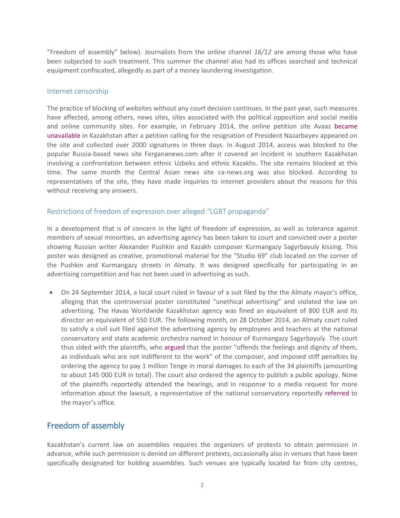"Freedom of assembly" below). Journalists from the online channel *16/12* are among those who have been subjected to such treatment. This summer the channel also had its offices searched and technical equipment confiscated, allegedly as part of a money laundering investigation.

#### Internet censorship

The practice of blocking of websites without any court decision continues. In the past year, such measures have affected, among others, news sites, sites associated with the political opposition and social media and online community sites. For example, in February 2014, the online petition site Avaaz [became](http://rus.azattyq.org/content/peticia-onlain-otstavka-nazarbaeva/25262258.html)  [unavailable](http://rus.azattyq.org/content/peticia-onlain-otstavka-nazarbaeva/25262258.html) in Kazakhstan after a petition calling for the resignation of President Nazarbayev appeared on the site and collected over 2000 signatures in three days. In August 2014, access was blocked to the popular Russia-based news site Fergananews.com after it covered an incident in southern Kazakhstan involving a confrontation between ethnic Uzbeks and ethnic Kazakhs. The site remains blocked at this time. The same month the Central Asian news site ca-news.org was also blocked. According to representatives of the site, they have made inquiries to internet providers about the reasons for this without receiving any answers.

#### Restrictions of freedom of expression over alleged "LGBT propaganda"

In a development that is of concern in the light of freedom of expression, as well as tolerance against members of sexual minorities, an advertising agency has been taken to court and convicted over a poster showing Russian writer Alexander Pushkin and Kazakh composer Kurmangazy Sagyrbayuly kissing. This poster was designed as creative, promotional material for the "Studio 69" club located on the corner of the Pushkin and Kurmangazy streets in Almaty. It was designed specifically for participating in an advertising competition and has not been used in advertising as such.

 On 24 September 2014, a local court ruled in favour of a suit filed by the the Almaty mayor's office, alleging that the controversial poster constituted "unethical advertising" and violated the law on advertising. The Havas Worldwide Kazakhstan agency was fined an equivalent of 800 EUR and its director an equivalent of 550 EUR. The following month, on 28 October 2014, an Almaty court ruled to satisfy a civil suit filed against the advertising agency by employees and teachers at the national conservatory and state academic orchestra named in honour of Kurmangazy Sagyrbayuly. The court thus sided with the plaintiffs, who [argued](http://vlast.kz/article/reshenie_suda_no2_almalinskogo_rajona_almaty_po_isku_34_k_agentstvu_havas_worldwide_kazakhstan-8137.html) that the poster "offends the feelings and dignity of them, as individuals who are not indifferent to the work" of the composer, and imposed stiff penalties by ordering the agency to pay 1 million Tenge in moral damages to each of the 34 plaintiffs (amounting to about 145 000 EUR in total). The court also ordered the agency to publish a public apology. None of the plaintiffs reportedly attended the hearings, and in response to a media request for more information about the lawsuit, a representative of the national conservatory reportedly [referred](http://365info.kz/2014/09/za-novym-iskom-protiv-avtorov-poceluya-pushkina-i-kurmangazy-stoyat-vlasti-almaty/) to the mayor's office.

#### Freedom of assembly

Kazakhstan's current law on assemblies requires the organizers of protests to obtain permission in advance, while such permission is denied on different pretexts, occasionally also in venues that have been specifically designated for holding assemblies. Such venues are typically located far from city centres,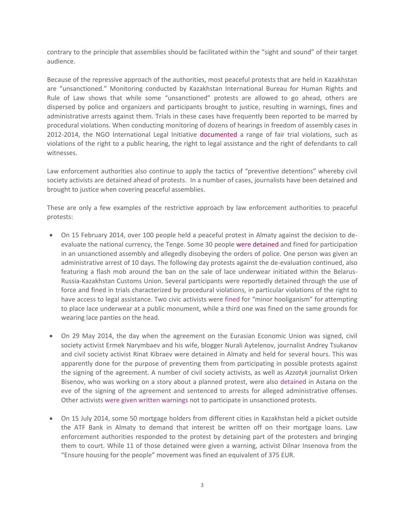contrary to the principle that assemblies should be facilitated within the "sight and sound" of their target audience.

Because of the repressive approach of the authorities, most peaceful protests that are held in Kazakhstan are "unsanctioned." Monitoring conducted by Kazakhstan International Bureau for Human Rights and Rule of Law shows that while some "unsanctioned" protests are allowed to go ahead, others are dispersed by police and organizers and participants brought to justice, resulting in warnings, fines and administrative arrests against them. Trials in these cases have frequently been reported to be marred by procedural violations. When conducting monitoring of dozens of hearings in freedom of assembly cases in 2012-2014, the NGO International Legal Initiative [documented](http://bureau.kz/data.php?page=1&n_id=7344&l=ru) a range of fair trial violations, such as violations of the right to a public hearing, the right to legal assistance and the right of defendants to call witnesses.

Law enforcement authorities also continue to apply the tactics of "preventive detentions" whereby civil society activists are detained ahead of protests. In a number of cases, journalists have been detained and brought to justice when covering peaceful assemblies.

These are only a few examples of the restrictive approach by law enforcement authorities to peaceful protests:

- On 15 February 2014, over 100 people held a peaceful protest in Almaty against the decision to deevaluate the national currency, the Tenge. Some 30 people [were detained](../bureau.kz/data.php?page=0&http://bureau.kz/data.php?page=0&n_id=6785&l=ru) and fined for participation in an unsanctioned assembly and allegedly disobeying the orders of police. One person was given an administrative arrest of 10 days. The following day protests against the de-evaluation continued, also featuring a flash mob around the ban on the sale of lace underwear initiated within the Belarus-Russia-Kazakhstan Customs Union. Several participants were reportedly detained through the use of force and fined in trials characterized by procedural violations, in particular violations of the right to have access to legal assistance. Two civic activists were [fined](http://rus.azattyq.org/content/news/25265587.html) for "minor hooliganism" for attempting to place lace underwear at a public monument, while a third one was fined on the same grounds for wearing lace panties on the head.
- On 29 May 2014, the day when the agreement on the Eurasian Economic Union was signed, civil society activist Ermek Narymbaev and his wife, blogger Nurali Aytelenov, journalist Andrey Tsukanov and civil society activist Rinat Kibraev were detained in Almaty and held for several hours. This was apparently done for the purpose of preventing them from participating in possible protests against the signing of the agreement. A number of civil society activists, as well as *Azzatyk* journalist Orken Bisenov, who was working on a story about a planned protest, were also [detained](http://rus.azattyq.org/content/news/25402445.html) in Astana on the eve of the signing of the agreement and sentenced to arrests for alleged administrative offenses. Other activists wer[e given written warnings](http://rus.azattyq.org/content/protivniki-evraziyskogo-soyuza-davlenie/25402438.html) not to participate in unsanctioned protests.
- On 15 July 2014, some 50 mortgage holders from different cities in Kazakhstan held a picket outside the ATF Bank in Almaty to demand that interest be written off on their mortgage loans. Law enforcement authorities responded to the protest by detaining part of the protesters and bringing them to court. While 11 of those detained were given a warning, activist Dilnar Insenova from the "Ensure housing for the people" movement was fined an equivalent of 375 EUR.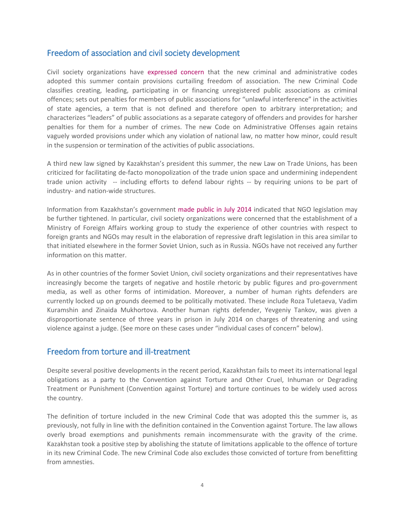## Freedom of association and civil society development

Civil society organizations have [expressed concern](http://www.bureau.kz/data.php?page=0&n_id=7177&l=en) that the new criminal and administrative codes adopted this summer contain provisions curtailing freedom of association. The new Criminal Code classifies creating, leading, participating in or financing unregistered public associations as criminal offences; sets out penalties for members of public associations for "unlawful interference" in the activities of state agencies, a term that is not defined and therefore open to arbitrary interpretation; and characterizes "leaders" of public associations as a separate category of offenders and provides for harsher penalties for them for a number of crimes. The new Code on Administrative Offenses again retains vaguely worded provisions under which any violation of national law, no matter how minor, could result in the suspension or termination of the activities of public associations.

A third new law signed by Kazakhstan's president this summer, the new Law on Trade Unions, has been criticized for facilitating de-facto monopolization of the trade union space and undermining independent trade union activity -- including efforts to defend labour rights -- by requiring unions to be part of industry- and nation-wide structures.

Information from Kazakhstan's government [made public in July](http://medialaw.asia/posts/08-07-2014/83196.html) 2014 indicated that NGO legislation may be further tightened. In particular, civil society organizations were concerned that the establishment of a Ministry of Foreign Affairs working group to study the experience of other countries with respect to foreign grants and NGOs may result in the elaboration of repressive draft legislation in this area similar to that initiated elsewhere in the former Soviet Union, such as in Russia. NGOs have not received any further information on this matter.

As in other countries of the former Soviet Union, civil society organizations and their representatives have increasingly become the targets of negative and hostile rhetoric by public figures and pro-government media, as well as other forms of intimidation. Moreover, a number of human rights defenders are currently locked up on grounds deemed to be politically motivated. These include Roza Tuletaeva, Vadim Kuramshin and Zinaida Mukhortova. Another human rights defender, Yevgeniy Tankov, was given a disproportionate sentence of three years in prison in July 2014 on charges of threatening and using violence against a judge. (See more on these cases under "individual cases of concern" below).

### Freedom from torture and ill-treatment

Despite several positive developments in the recent period, Kazakhstan fails to meet its international legal obligations as a party to the Convention against Torture and Other Cruel, Inhuman or Degrading Treatment or Punishment (Convention against Torture) and torture continues to be widely used across the country.

The definition of torture included in the new Criminal Code that was adopted this the summer is, as previously, not fully in line with the definition contained in the Convention against Torture. The law allows overly broad exemptions and punishments remain incommensurate with the gravity of the crime. Kazakhstan took a positive step by abolishing the statute of limitations applicable to the offence of torture in its new Criminal Code. The new Criminal Code also excludes those convicted of torture from benefitting from amnesties.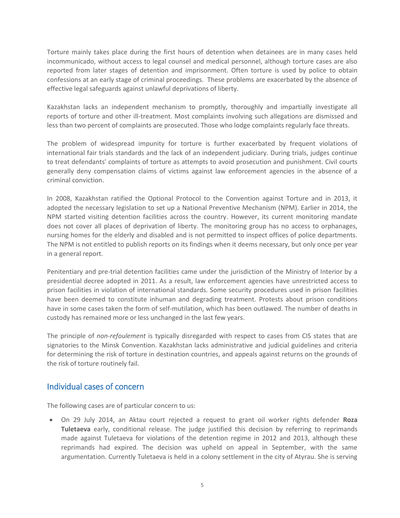Torture mainly takes place during the first hours of detention when detainees are in many cases held incommunicado, without access to legal counsel and medical personnel, although torture cases are also reported from later stages of detention and imprisonment. Often torture is used by police to obtain confessions at an early stage of criminal proceedings. These problems are exacerbated by the absence of effective legal safeguards against unlawful deprivations of liberty.

Kazakhstan lacks an independent mechanism to promptly, thoroughly and impartially investigate all reports of torture and other ill-treatment. Most complaints involving such allegations are dismissed and less than two percent of complaints are prosecuted. Those who lodge complaints regularly face threats.

The problem of widespread impunity for torture is further exacerbated by frequent violations of international fair trials standards and the lack of an independent judiciary. During trials, judges continue to treat defendants' complaints of torture as attempts to avoid prosecution and punishment. Civil courts generally deny compensation claims of victims against law enforcement agencies in the absence of a criminal conviction.

In 2008, Kazakhstan ratified the Optional Protocol to the Convention against Torture and in 2013, it adopted the necessary legislation to set up a National Preventive Mechanism (NPM). Earlier in 2014, the NPM started visiting detention facilities across the country. However, its current monitoring mandate does not cover all places of deprivation of liberty. The monitoring group has no access to orphanages, nursing homes for the elderly and disabled and is not permitted to inspect offices of police departments. The NPM is not entitled to publish reports on its findings when it deems necessary, but only once per year in a general report.

Penitentiary and pre-trial detention facilities came under the jurisdiction of the Ministry of Interior by a presidential decree adopted in 2011. As a result, law enforcement agencies have unrestricted access to prison facilities in violation of international standards. Some security procedures used in prison facilities have been deemed to constitute inhuman and degrading treatment. Protests about prison conditions have in some cases taken the form of self-mutilation, which has been outlawed. The number of deaths in custody has remained more or less unchanged in the last few years.

The principle of *non-refoulement* is typically disregarded with respect to cases from CIS states that are signatories to the Minsk Convention. Kazakhstan lacks administrative and judicial guidelines and criteria for determining the risk of torture in destination countries, and appeals against returns on the grounds of the risk of torture routinely fail.

#### Individual cases of concern

The following cases are of particular concern to us:

 On 29 July 2014, an Aktau court rejected a request to grant oil worker rights defender **Roza Tuletaeva** early, conditional release. The judge justified this decision by referring to reprimands made against Tuletaeva for violations of the detention regime in 2012 and 2013, although these reprimands had expired. The decision was upheld on appeal in September, with the same argumentation. Currently Tuletaeva is held in a colony settlement in the city of Atyrau. She is serving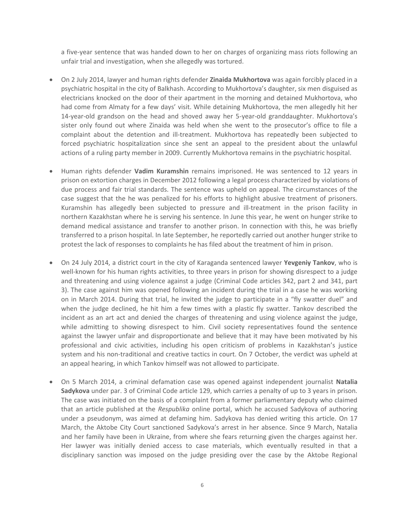a five-year sentence that was handed down to her on charges of organizing mass riots following an unfair trial and investigation, when she allegedly was tortured.

- On 2 July 2014, lawyer and human rights defender **Zinaida Mukhortova** was again forcibly placed in a psychiatric hospital in the city of Balkhash. According to Mukhortova's daughter, six men disguised as electricians knocked on the door of their apartment in the morning and detained Mukhortova, who had come from Almaty for a few days' visit. While detaining Mukhortova, the men allegedly hit her 14-year-old grandson on the head and shoved away her 5-year-old granddaughter. Mukhortova's sister only found out where Zinaida was held when she went to the prosecutor's office to file a complaint about the detention and ill-treatment. Mukhortova has [repeatedly](http://www.iphronline.org/uploads/9/0/2/7/9027585/iphr_and_kibhr_briefing_paper_for_eu-kazakhstan_hr_dialogue_nov_2013.pdf) been subjected to forced psychiatric hospitalization since she sent an appeal to the president about the unlawful actions of a ruling party member in 2009. Currently Mukhortova remains in the psychiatric hospital.
- Human rights defender **Vadim Kuramshin** remains imprisoned. He was sentenced to 12 years in prison on extortion charges in December 2012 following a legal process characterized by violations of due process and fair trial standards. The sentence was upheld on appeal. The [circumstances of the](http://www.iphronline.org/kazakhstan_20121212.html)  [case](http://www.iphronline.org/kazakhstan_20121212.html) suggest that the he was penalized for his efforts to highlight abusive treatment of prisoners. Kuramshin has allegedly been subjected to pressure and ill-treatment in the prison facility in northern Kazakhstan where he is serving his sentence. In June this year, he went on hunger strike to demand medical assistance and transfer to another prison. In connection with this, he was briefly transferred to a prison hospital. In late September, he reportedly carried out another hunger strike to protest the lack of responses to complaints he has filed about the treatment of him in prison.
- On 24 July 2014, a district court in the city of Karaganda sentenced lawyer **Yevgeniy Tankov**, who is well-known for his human rights activities, to three years in prison for showing disrespect to a judge and threatening and using violence against a judge (Criminal Code articles 342, part 2 and 341, part 3). The case against him was opened following an incident during the trial in a case he was working on in March 2014. During that trial, he [invited](http://www.respublika-kaz.info/news/politics/37612/) the judge to participate in a "fly swatter duel" and when the judge declined, he hit him a few times with a plastic fly swatter. Tankov described the incident as an art act and denied the charges of threatening and using violence against the judge, while admitting to showing disrespect to him. Civil society representatives found the sentence against the lawyer unfair and disproportionate and believe that it may have been motivated by his professional and civic activities, including his open criticism of problems in Kazakhstan's justice system and his non-traditional and creative tactics in court. On 7 October, the verdict was upheld at an appeal hearing, in which Tankov himself was not allowed to participate.
- On 5 March 2014, a criminal defamation case was opened against independent journalist **Natalia Sadykova** under par. 3 of Criminal Code article 129, which carries a penalty of up to 3 years in prison. The case was initiated on the basis of a complaint from a former parliamentary deputy who claimed that an article published at the *Respublika* online portal, which he accused Sadykova of authoring under a pseudonym, was aimed at defaming him. Sadykova has denied writing this article. On 17 March, the Aktobe City Court sanctioned Sadykova's arrest in her absence. Since 9 March, Natalia and her family have been in Ukraine, from where she fears returning given the charges against her. Her lawyer was initially [denied access](http://www.bureau.kz/data.php?page=1&n_id=7193&l=ru) to case materials, which eventually resulted in that a disciplinary sanction was imposed on the judge presiding over the case by the Aktobe Regional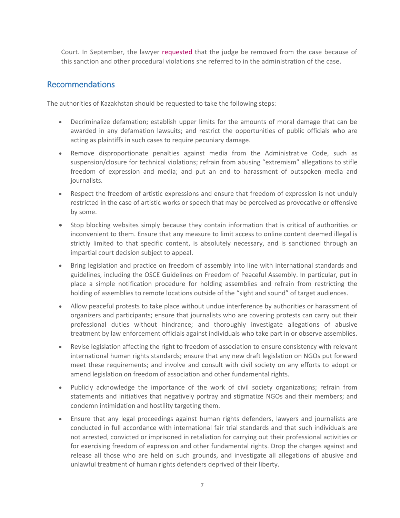Court. In September, the lawyer [requested](http://www.bureau.kz/data.php?n_id=7467&l=ru) that the judge be removed from the case because of this sanction and other procedural violations she referred to in the administration of the case.

### Recommendations

The authorities of Kazakhstan should be requested to take the following steps:

- Decriminalize defamation; establish upper limits for the amounts of moral damage that can be awarded in any defamation lawsuits; and restrict the opportunities of public officials who are acting as plaintiffs in such cases to require pecuniary damage.
- Remove disproportionate penalties against media from the Administrative Code, such as suspension/closure for technical violations; refrain from abusing "extremism" allegations to stifle freedom of expression and media; and put an end to harassment of outspoken media and journalists.
- Respect the freedom of artistic expressions and ensure that freedom of expression is not unduly restricted in the case of artistic works or speech that may be perceived as provocative or offensive by some.
- Stop blocking websites simply because they contain information that is critical of authorities or inconvenient to them. Ensure that any measure to limit access to online content deemed illegal is strictly limited to that specific content, is absolutely necessary, and is sanctioned through an impartial court decision subject to appeal.
- Bring legislation and practice on freedom of assembly into line with international standards and guidelines, including the OSCE Guidelines on Freedom of Peaceful Assembly. In particular, put in place a simple notification procedure for holding assemblies and refrain from restricting the holding of assemblies to remote locations outside of the "sight and sound" of target audiences.
- Allow peaceful protests to take place without undue interference by authorities or harassment of organizers and participants; ensure that journalists who are covering protests can carry out their professional duties without hindrance; and thoroughly investigate allegations of abusive treatment by law enforcement officials against individuals who take part in or observe assemblies.
- Revise legislation affecting the right to freedom of association to ensure consistency with relevant international human rights standards; ensure that any new draft legislation on NGOs put forward meet these requirements; and involve and consult with civil society on any efforts to adopt or amend legislation on freedom of association and other fundamental rights.
- Publicly acknowledge the importance of the work of civil society organizations; refrain from statements and initiatives that negatively portray and stigmatize NGOs and their members; and condemn intimidation and hostility targeting them.
- Ensure that any legal proceedings against human rights defenders, lawyers and journalists are conducted in full accordance with international fair trial standards and that such individuals are not arrested, convicted or imprisoned in retaliation for carrying out their professional activities or for exercising freedom of expression and other fundamental rights. Drop the charges against and release all those who are held on such grounds, and investigate all allegations of abusive and unlawful treatment of human rights defenders deprived of their liberty.